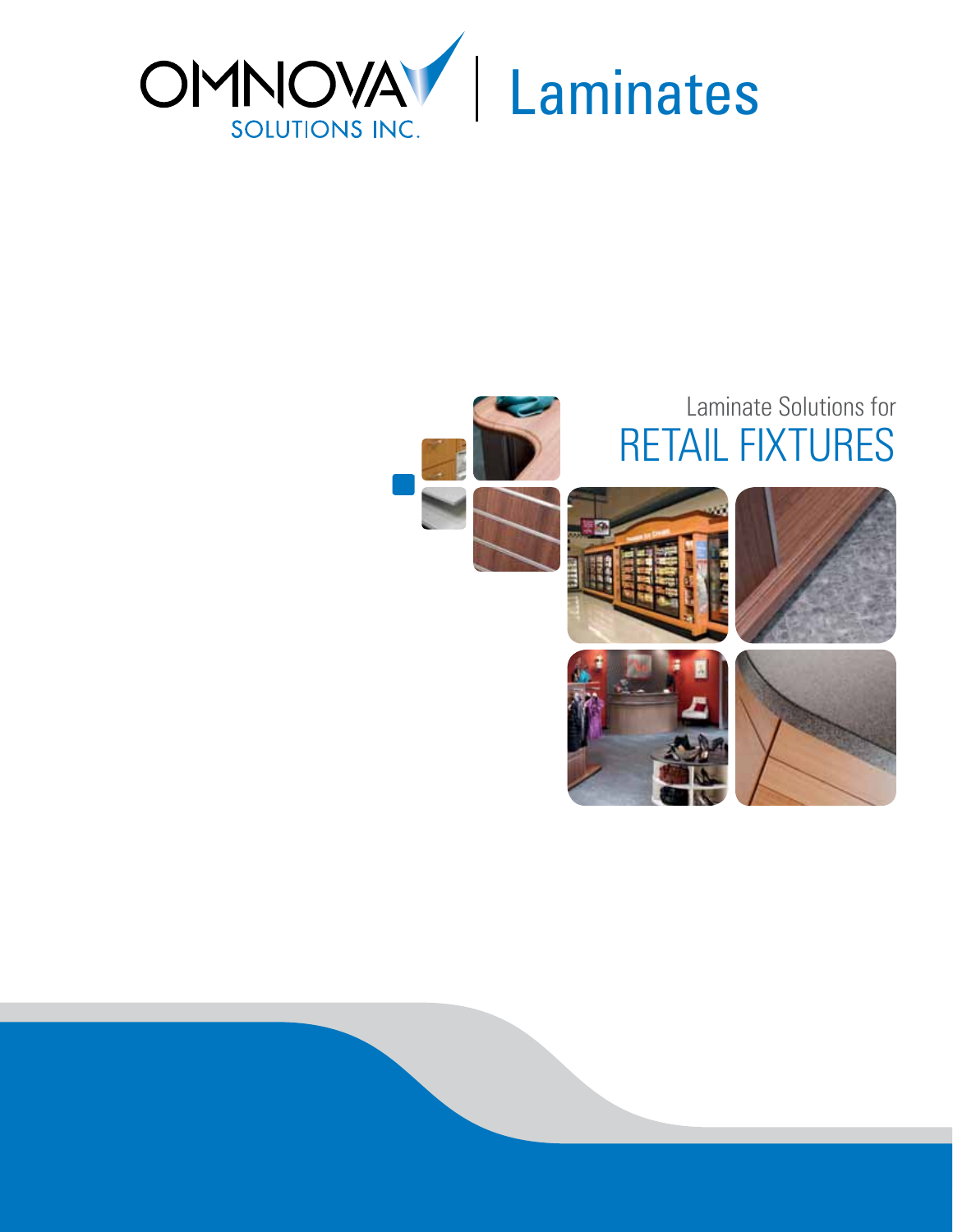

# RETAIL FIXTURES Laminate Solutions for Laminate Solutions for









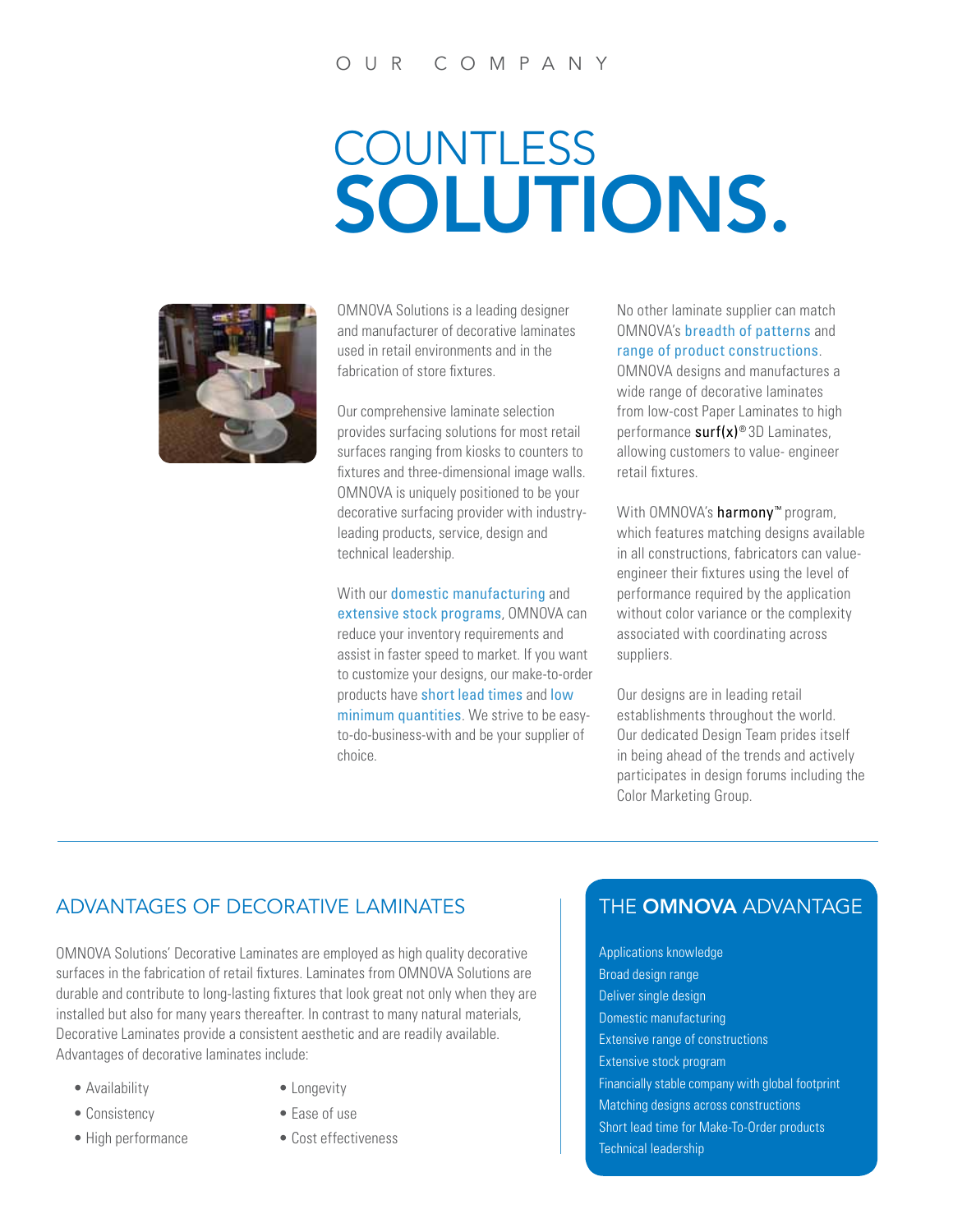## **COUNTLESS** SOLUTIONS.



OMNOVA Solutions is a leading designer and manufacturer of decorative laminates used in retail environments and in the fabrication of store fixtures.

Our comprehensive laminate selection provides surfacing solutions for most retail surfaces ranging from kiosks to counters to fixtures and three-dimensional image walls. OMNOVA is uniquely positioned to be your decorative surfacing provider with industryleading products, service, design and technical leadership.

With our domestic manufacturing and extensive stock programs, OMNOVA can reduce your inventory requirements and assist in faster speed to market. If you want to customize your designs, our make-to-order products have short lead times and low minimum quantities. We strive to be easyto-do-business-with and be your supplier of choice.

No other laminate supplier can match OMNOVA's breadth of patterns and range of product constructions. OMNOVA designs and manufactures a wide range of decorative laminates

from low-cost Paper Laminates to high performance  $\text{surf}(x)$ <sup>®</sup> 3D Laminates, allowing customers to value- engineer retail fixtures.

With OMNOVA's harmony<sup>™</sup> program, which features matching designs available in all constructions, fabricators can valueengineer their fixtures using the level of performance required by the application without color variance or the complexity associated with coordinating across suppliers.

Our designs are in leading retail establishments throughout the world. Our dedicated Design Team prides itself in being ahead of the trends and actively participates in design forums including the Color Marketing Group.

#### ADVANTAGES OF DECORATIVE LAMINATES THE OMNOVA ADVANTAGE

OMNOVA Solutions' Decorative Laminates are employed as high quality decorative surfaces in the fabrication of retail fixtures. Laminates from OMNOVA Solutions are durable and contribute to long-lasting fixtures that look great not only when they are installed but also for many years thereafter. In contrast to many natural materials, Decorative Laminates provide a consistent aesthetic and are readily available. Advantages of decorative laminates include:

- Availability
- Consistency
- High performance
- Longevity
- Ease of use
- Cost effectiveness

Applications knowledge Broad design range Deliver single design Domestic manufacturing Extensive range of constructions Extensive stock program Financially stable company with global footprint Matching designs across constructions Short lead time for Make-To-Order products Technical leadership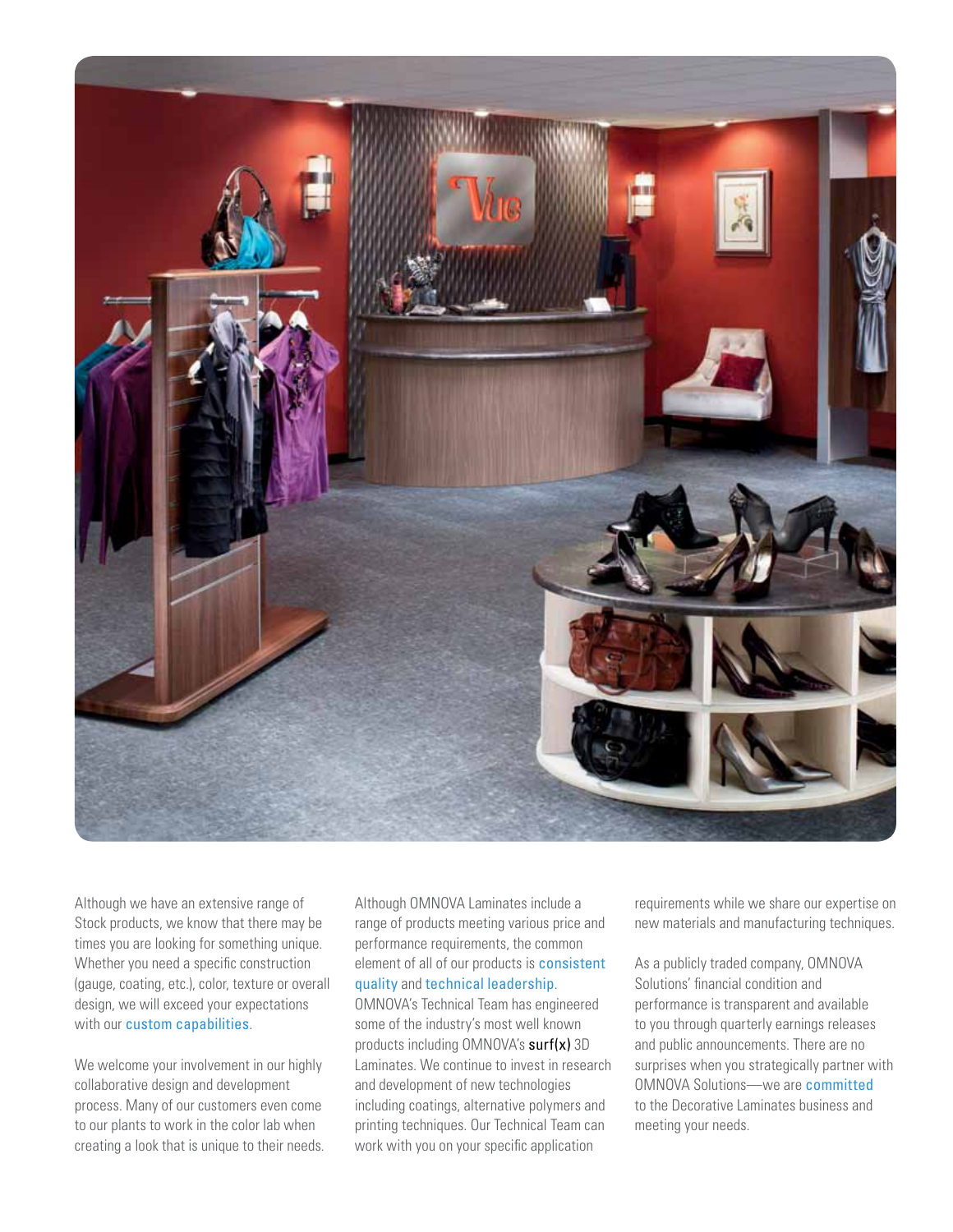

Although we have an extensive range of Stock products, we know that there may be times you are looking for something unique. Whether you need a specific construction (gauge, coating, etc.), color, texture or overall design, we will exceed your expectations with our custom capabilities.

We welcome your involvement in our highly collaborative design and development process. Many of our customers even come to our plants to work in the color lab when creating a look that is unique to their needs.

Although OMNOVA Laminates include a range of products meeting various price and performance requirements, the common element of all of our products is consistent quality and technical leadership.

OMNOVA's Technical Team has engineered some of the industry's most well known products including OMNOVA's surf(x) 3D Laminates. We continue to invest in research and development of new technologies including coatings, alternative polymers and printing techniques. Our Technical Team can work with you on your specific application

requirements while we share our expertise on new materials and manufacturing techniques.

As a publicly traded company, OMNOVA Solutions' financial condition and performance is transparent and available to you through quarterly earnings releases and public announcements. There are no surprises when you strategically partner with OMNOVA Solutions—we are committed to the Decorative Laminates business and meeting your needs.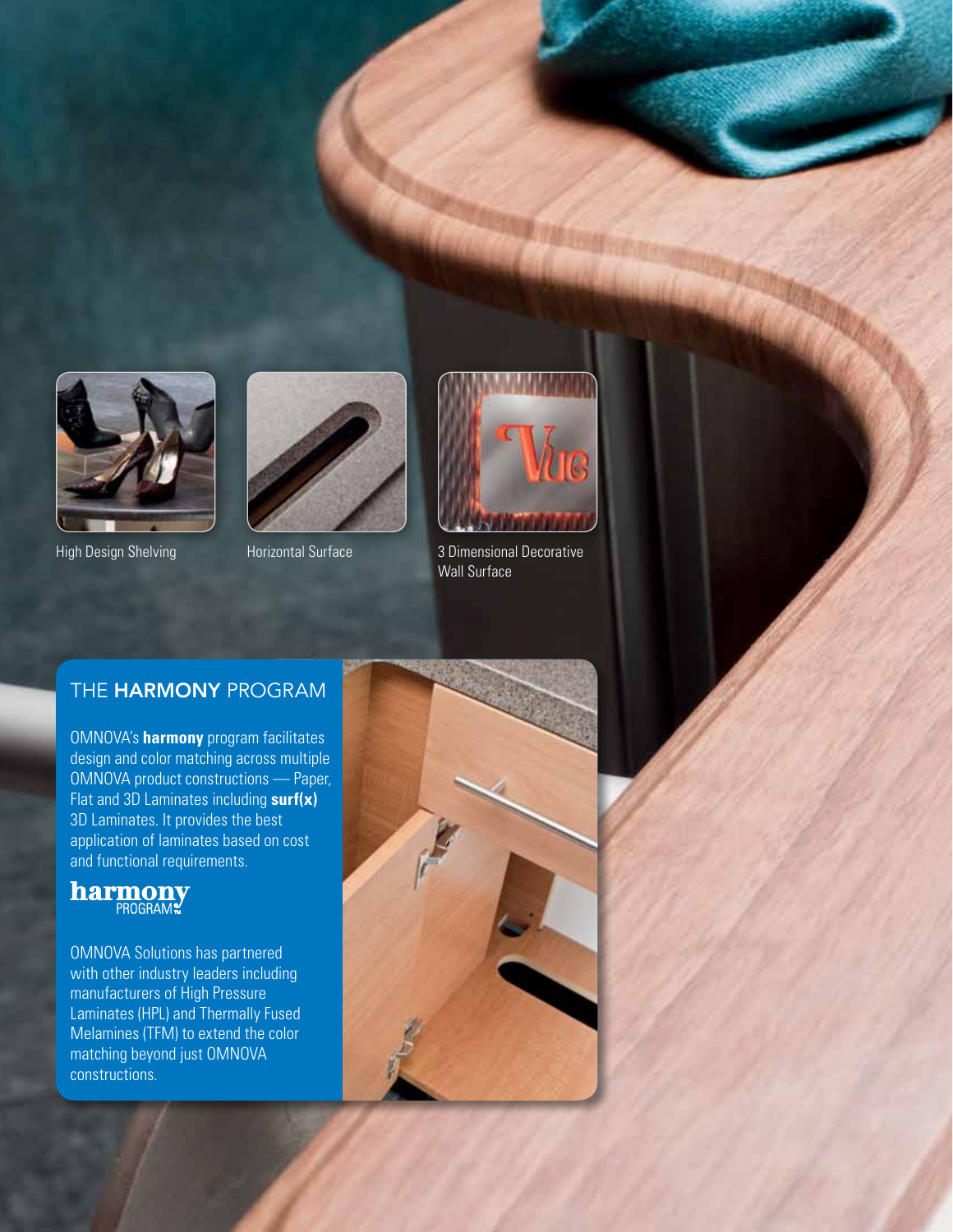





High Design Shelving **Horizontal Surface** 3 Dimensional Decorative Wall Surface

#### THE HARMONY PROGRAM

OMNOVA's **harmony** program facilitates design and color matching across multiple OMNOVA product constructions — Paper, Flat and 3D Laminates including **surf(x)** 3D Laminates. It provides the best application of laminates based on cost and functional requirements.

### **harmony**<br>PROGRAM

OMNOVA Solutions has partnered with other industry leaders including manufacturers of High Pressure Laminates (HPL) and Thermally Fused Melamines (TFM) to extend the color matching beyond just OMNOVA constructions.

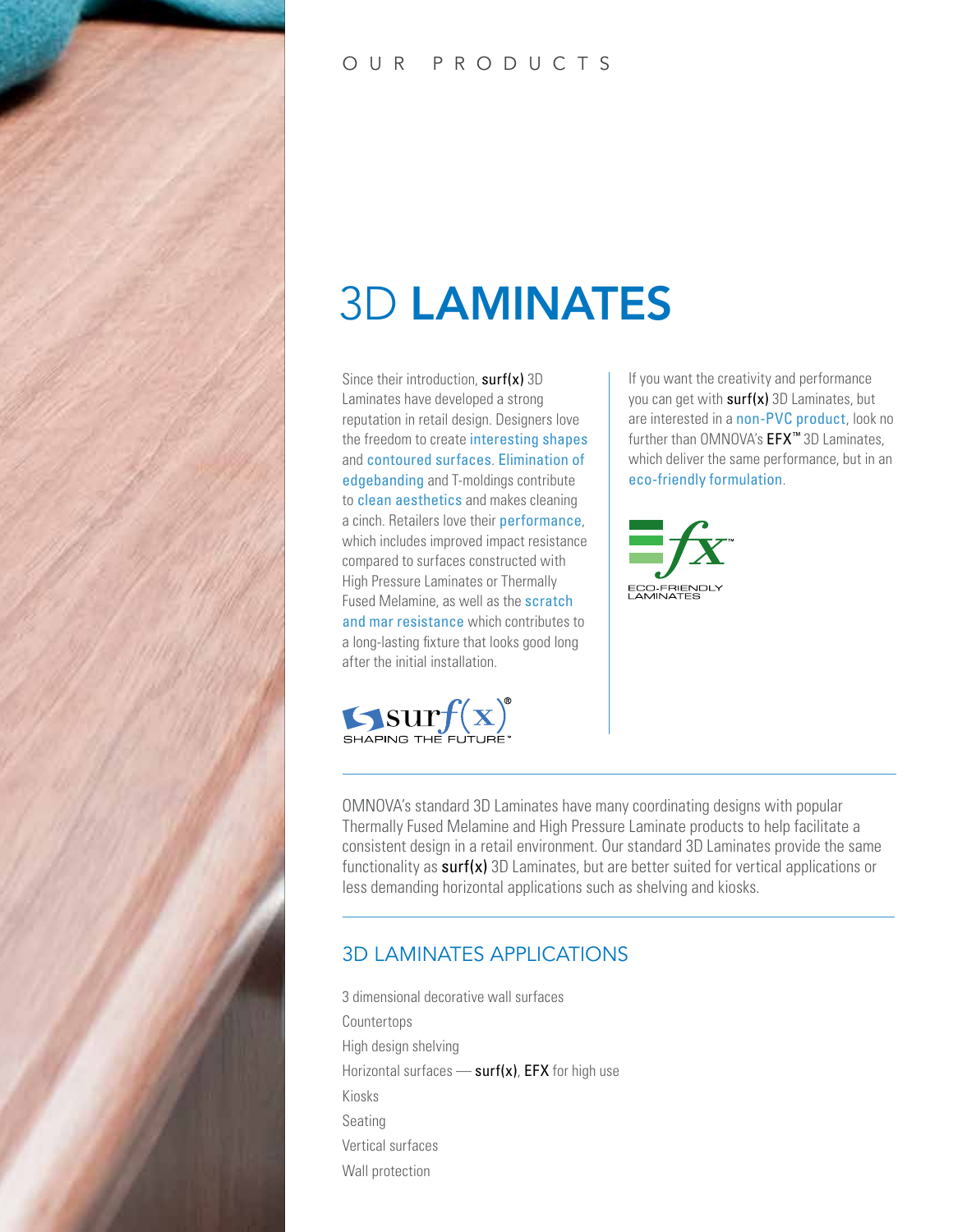

#### O U R P R O D U C T S

### 3D LAMINATES

Since their introduction,  $surf(x)$  3D Laminates have developed a strong reputation in retail design. Designers love the freedom to create interesting shapes and contoured surfaces. Elimination of edgebanding and T-moldings contribute to clean aesthetics and makes cleaning a cinch. Retailers love their performance, which includes improved impact resistance compared to surfaces constructed with High Pressure Laminates or Thermally Fused Melamine, as well as the scratch and mar resistance which contributes to a long-lasting fixture that looks good long after the initial installation.



If you want the creativity and performance you can get with  $surf(x)$  3D Laminates, but are interested in a non-PVC product, look no further than OMNOVA's EFX<sup>™</sup> 3D Laminates, which deliver the same performance, but in an eco-friendly formulation.



OMNOVA's standard 3D Laminates have many coordinating designs with popular Thermally Fused Melamine and High Pressure Laminate products to help facilitate a consistent design in a retail environment. Our standard 3D Laminates provide the same functionality as surf(x) 3D Laminates, but are better suited for vertical applications or less demanding horizontal applications such as shelving and kiosks.

#### 3D LAMINATES APPLICATIONS

3 dimensional decorative wall surfaces Countertops High design shelving Horizontal surfaces  $\equiv$  surf(x), EFX for high use Kiosks Seating Vertical surfaces Wall protection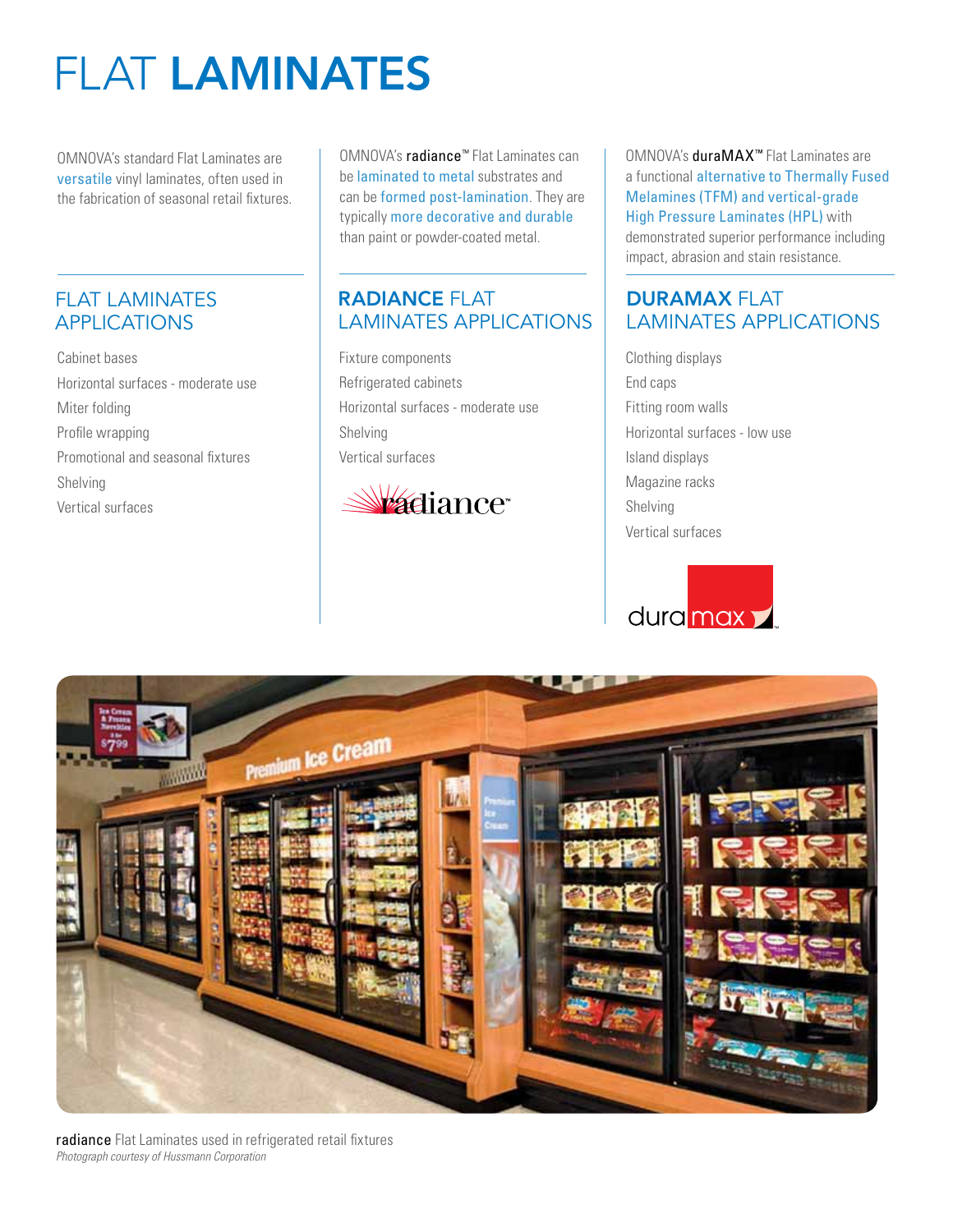### FLAT LAMINATES

OMNOVA's standard Flat Laminates are versatile vinyl laminates, often used in the fabrication of seasonal retail fixtures.

#### FLAT LAMINATES APPLICATIONS

Cabinet bases Horizontal surfaces - moderate use Miter folding Profile wrapping Promotional and seasonal fixtures Shelving Vertical surfaces

OMNOVA's radiance™ Flat Laminates can be laminated to metal substrates and can be formed post-lamination. They are typically more decorative and durable than paint or powder-coated metal.

#### RADIANCE FLAT LAMINATES APPLICATIONS

Fixture components Refrigerated cabinets Horizontal surfaces - moderate use Shelving Vertical surfaces



OMNOVA's duraMAX™ Flat Laminates are a functional alternative to Thermally Fused Melamines (TFM) and vertical-grade High Pressure Laminates (HPL) with demonstrated superior performance including impact, abrasion and stain resistance.

#### DURAMAX FLAT LAMINATES APPLICATIONS

Clothing displays End caps Fitting room walls Horizontal surfaces - low use Island displays Magazine racks Shelving Vertical surfaces





radiance Flat Laminates used in refrigerated retail fixtures *Photograph courtesy of Hussmann Corporation*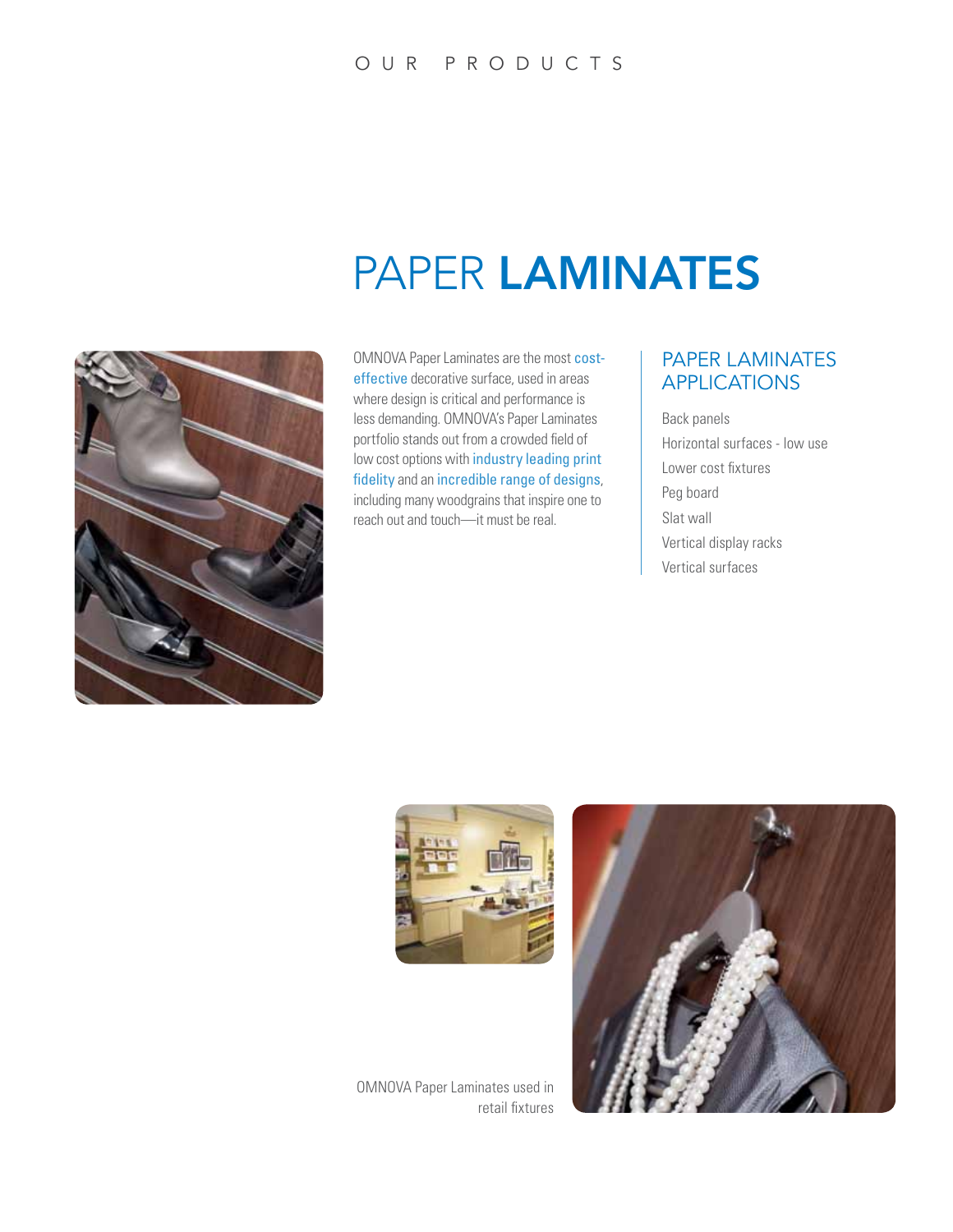### PAPER LAMINATES



OMNOVA Paper Laminates are the most costeffective decorative surface, used in areas where design is critical and performance is less demanding. OMNOVA's Paper Laminates portfolio stands out from a crowded field of low cost options with industry leading print fidelity and an incredible range of designs, including many woodgrains that inspire one to reach out and touch—it must be real.

#### PAPER LAMINATES APPLICATIONS

Back panels Horizontal surfaces - low use Lower cost fixtures Peg board Slat wall Vertical display racks Vertical surfaces





OMNOVA Paper Laminates used in retail fixtures